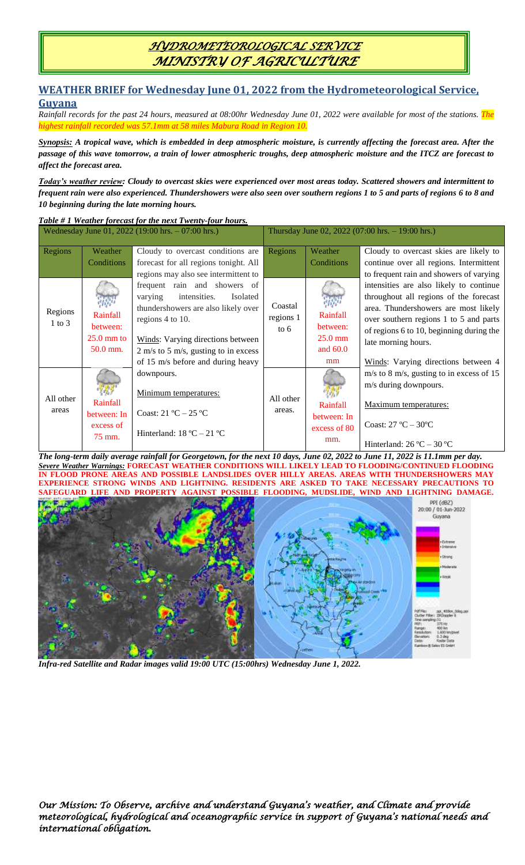# *HYDROMETEOROLOGICAL SERVICE MINISTRY OF AGRICULTURE*

### **WEATHER BRIEF for Wednesday June 01, 2022 from the Hydrometeorological Service, Guyana**

*Rainfall records for the past 24 hours, measured at 08:00hr Wednesday June 01, 2022 were available for most of the stations. The highest rainfall recorded was 57.1mm at 58 miles Mabura Road in Region 10.*

*Synopsis: A tropical wave, which is embedded in deep atmospheric moisture, is currently affecting the forecast area. After the passage of this wave tomorrow, a train of lower atmospheric troughs, deep atmospheric moisture and the ITCZ are forecast to affect the forecast area.*

*Today's weather review: Cloudy to overcast skies were experienced over most areas today. Scattered showers and intermittent to frequent rain were also experienced. Thundershowers were also seen over southern regions 1 to 5 and parts of regions 6 to 8 and 10 beginning during the late morning hours.*

### *Table # 1 Weather forecast for the next Twenty-four hours.*

| Wednesday June 01, 2022 (19:00 hrs. - 07:00 hrs.) |                                                                       |                                                                                                                                                                                                                                                                                           | Thursday June 02, 2022 (07:00 hrs. $-19:00$ hrs.) |                                                            |                                                                                                                                                                                                                                                                                                                                                                        |
|---------------------------------------------------|-----------------------------------------------------------------------|-------------------------------------------------------------------------------------------------------------------------------------------------------------------------------------------------------------------------------------------------------------------------------------------|---------------------------------------------------|------------------------------------------------------------|------------------------------------------------------------------------------------------------------------------------------------------------------------------------------------------------------------------------------------------------------------------------------------------------------------------------------------------------------------------------|
| Regions<br>Regions<br>$1$ to $3$                  | Weather<br>Conditions<br>Rainfall<br>between:<br>$25.0 \text{ mm}$ to | Cloudy to overcast conditions are<br>forecast for all regions tonight. All<br>regions may also see intermittent to<br>frequent rain and showers of<br>intensities.<br>Isolated<br>varying<br>thundershowers are also likely over<br>regions 4 to 10.<br>Winds: Varying directions between | Regions<br>Coastal<br>regions 1<br>to $6$         | Weather<br>Conditions<br>Rainfall<br>between:<br>$25.0$ mm | Cloudy to overcast skies are likely to<br>continue over all regions. Intermittent<br>to frequent rain and showers of varying<br>intensities are also likely to continue<br>throughout all regions of the forecast<br>area. Thundershowers are most likely<br>over southern regions 1 to 5 and parts<br>of regions 6 to 10, beginning during the<br>late morning hours. |
|                                                   | 50.0 mm.                                                              | $2 \text{ m/s}$ to 5 m/s, gusting to in excess<br>of 15 m/s before and during heavy                                                                                                                                                                                                       |                                                   | and $60.0$<br>mm                                           | Winds: Varying directions between 4                                                                                                                                                                                                                                                                                                                                    |
| All other<br>areas                                | Rainfall<br>between: In<br>excess of<br>75 mm.                        | downpours.<br>Minimum temperatures:<br>Coast: $21 \text{ °C} - 25 \text{ °C}$<br>Hinterland: $18 \text{ °C} - 21 \text{ °C}$                                                                                                                                                              | All other<br>areas.                               | Rainfall<br>between: In<br>excess of 80<br>mm.             | $m/s$ to 8 m/s, gusting to in excess of 15<br>m/s during downpours.<br>Maximum temperatures:<br>Coast: $27^{\circ}$ C – $30^{\circ}$ C<br>Hinterland: $26^{\circ}$ C – 30 °C                                                                                                                                                                                           |

*The long-term daily average rainfall for Georgetown, for the next 10 days, June 02, 2022 to June 11, 2022 is 11.1mm per day. Severe Weather Warnings:* **FORECAST WEATHER CONDITIONS WILL LIKELY LEAD TO FLOODING/CONTINUED FLOODING IN FLOOD PRONE AREAS AND POSSIBLE LANDSLIDES OVER HILLY AREAS. AREAS WITH THUNDERSHOWERS MAY EXPERIENCE STRONG WINDS AND LIGHTNING. RESIDENTS ARE ASKED TO TAKE NECESSARY PRECAUTIONS TO SAFEGUARD LIFE AND PROPERTY AGAINST POSSIBLE FLOODING, MUDSLIDE, WIND AND LIGHTNING DAMAGE.**



*Infra-red Satellite and Radar images valid 19:00 UTC (15:00hrs) Wednesday June 1, 2022.*

*Our Mission: To Observe, archive and understand Guyana's weather, and Climate and provide meteorological, hydrological and oceanographic service in support of Guyana's national needs and international obligation.*